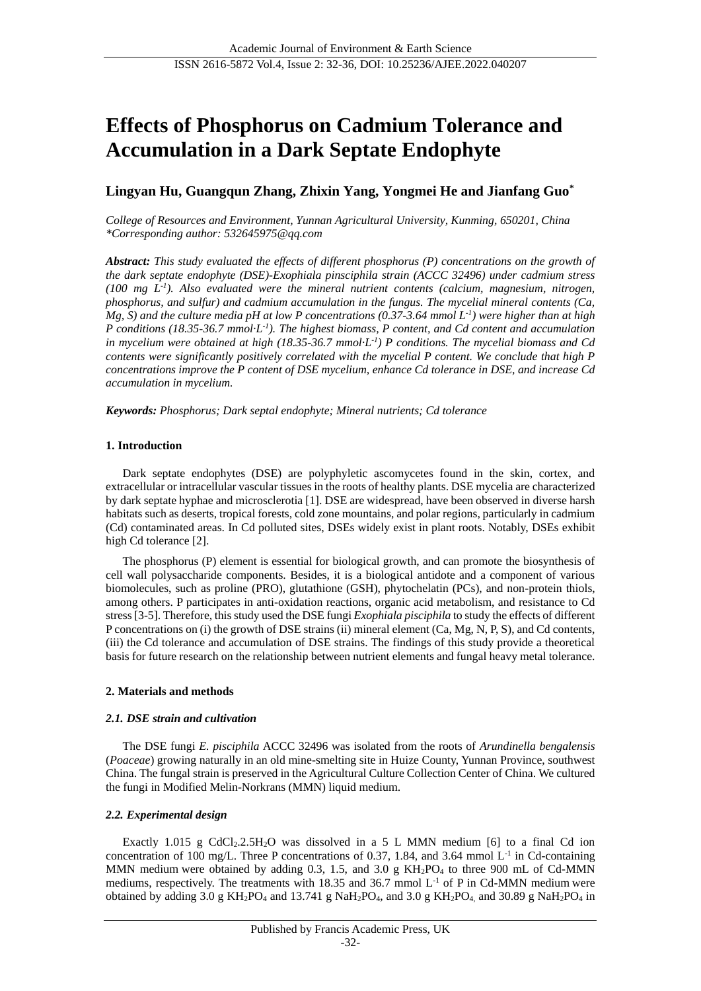# **Effects of Phosphorus on Cadmium Tolerance and Accumulation in a Dark Septate Endophyte**

# **Lingyan Hu, Guangqun Zhang, Zhixin Yang, Yongmei He and Jianfang Guo\***

*College of Resources and Environment, Yunnan Agricultural University, Kunming, 650201, China \*Corresponding author: 532645975@qq.com*

*Abstract: This study evaluated the effects of different phosphorus (P) concentrations on the growth of the dark septate endophyte (DSE)-Exophiala pinsciphila strain (ACCC 32496) under cadmium stress (100 mg L-1 ). Also evaluated were the mineral nutrient contents (calcium, magnesium, nitrogen, phosphorus, and sulfur) and cadmium accumulation in the fungus. The mycelial mineral contents (Ca, Mg, S) and the culture media pH at low P concentrations (0.37-3.64 mmol L-1 ) were higher than at high P conditions (18.35-36.7 mmol·L-1 ). The highest biomass, P content, and Cd content and accumulation*  in mycelium were obtained at high (18.35-36.7 mmol  $L<sup>1</sup>$ ) P conditions. The mycelial biomass and Cd *contents were significantly positively correlated with the mycelial P content. We conclude that high P concentrations improve the P content of DSE mycelium, enhance Cd tolerance in DSE, and increase Cd accumulation in mycelium.*

*Keywords: Phosphorus; Dark septal endophyte; Mineral nutrients; Cd tolerance*

### **1. Introduction**

Dark septate endophytes (DSE) are polyphyletic ascomycetes found in the skin, cortex, and extracellular or intracellular vascular tissues in the roots of healthy plants. DSE mycelia are characterized by dark septate hyphae and microsclerotia [1]. DSE are widespread, have been observed in diverse harsh habitats such as deserts, tropical forests, cold zone mountains, and polar regions, particularly in cadmium (Cd) contaminated areas. In Cd polluted sites, DSEs widely exist in plant roots. Notably, DSEs exhibit high Cd tolerance [2].

The phosphorus (P) element is essential for biological growth, and can promote the biosynthesis of cell wall polysaccharide components. Besides, it is a biological antidote and a component of various biomolecules, such as proline (PRO), glutathione (GSH), phytochelatin (PCs), and non-protein thiols, among others. P participates in anti-oxidation reactions, organic acid metabolism, and resistance to Cd stress [3-5]. Therefore, this study used the DSE fungi *Exophiala pisciphila* to study the effects of different P concentrations on (i) the growth of DSE strains (ii) mineral element (Ca, Mg, N, P, S), and Cd contents, (iii) the Cd tolerance and accumulation of DSE strains. The findings of this study provide a theoretical basis for future research on the relationship between nutrient elements and fungal heavy metal tolerance.

# **2. Materials and methods**

### *2.1. DSE strain and cultivation*

The DSE fungi *E. pisciphila* ACCC 32496 was isolated from the roots of *Arundinella bengalensis* (*Poaceae*) growing naturally in an old mine-smelting site in Huize County, Yunnan Province, southwest China. The fungal strain is preserved in the Agricultural Culture Collection Center of China. We cultured the fungi in Modified Melin-Norkrans (MMN) liquid medium.

# *2.2. Experimental design*

Exactly 1.015 g CdCl<sub>2</sub>.2.5H<sub>2</sub>O was dissolved in a 5 L MMN medium [6] to a final Cd ion concentration of 100 mg/L. Three P concentrations of 0.37, 1.84, and 3.64 mmol  $L^{-1}$  in Cd-containing MMN medium were obtained by adding  $0.3$ , 1.5, and  $3.0 \text{ g } KH_2PO_4$  to three  $900 \text{ mL of Cd-MMN}$ mediums, respectively. The treatments with 18.35 and 36.7 mmol  $L^{-1}$  of P in Cd-MMN medium were obtained by adding  $3.0$  g KH<sub>2</sub>PO<sub>4</sub> and  $13.741$  g NaH<sub>2</sub>PO<sub>4</sub>, and  $3.0$  g KH<sub>2</sub>PO<sub>4</sub>, and  $30.89$  g NaH<sub>2</sub>PO<sub>4</sub> in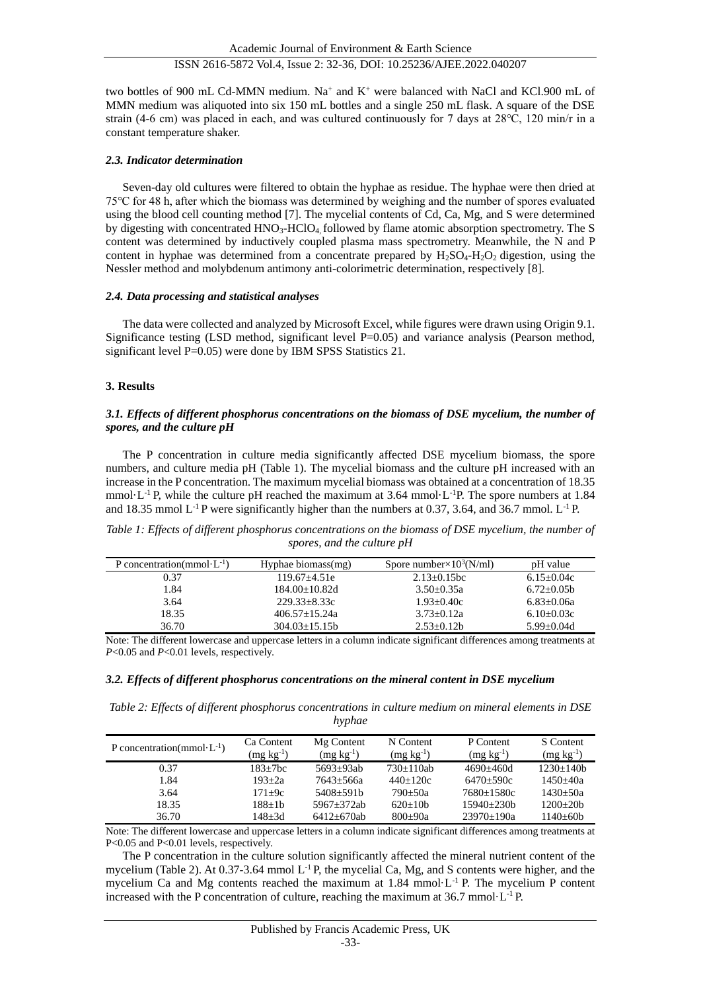two bottles of 900 mL Cd-MMN medium. Na<sup>+</sup> and  $K^+$  were balanced with NaCl and KCl.900 mL of MMN medium was aliquoted into six 150 mL bottles and a single 250 mL flask. A square of the DSE strain (4-6 cm) was placed in each, and was cultured continuously for 7 days at 28℃, 120 min/r in a constant temperature shaker.

#### *2.3. Indicator determination*

Seven-day old cultures were filtered to obtain the hyphae as residue. The hyphae were then dried at 75℃ for 48 h, after which the biomass was determined by weighing and the number of spores evaluated using the blood cell counting method [7]. The mycelial contents of Cd, Ca, Mg, and S were determined by digesting with concentrated HNO<sub>3</sub>-HClO<sub>4</sub> followed by flame atomic absorption spectrometry. The S content was determined by inductively coupled plasma mass spectrometry. Meanwhile, the N and P content in hyphae was determined from a concentrate prepared by  $H_2SO_4-H_2O_2$  digestion, using the Nessler method and molybdenum antimony anti-colorimetric determination, respectively [8].

#### *2.4. Data processing and statistical analyses*

The data were collected and analyzed by Microsoft Excel, while figures were drawn using Origin 9.1. Significance testing (LSD method, significant level P=0.05) and variance analysis (Pearson method, significant level P=0.05) were done by IBM SPSS Statistics 21.

### **3. Results**

#### *3.1. Effects of different phosphorus concentrations on the biomass of DSE mycelium, the number of spores, and the culture pH*

The P concentration in culture media significantly affected DSE mycelium biomass, the spore numbers, and culture media pH (Table 1). The mycelial biomass and the culture pH increased with an increase in the P concentration. The maximum mycelial biomass was obtained at a concentration of 18.35 mmol  $L^{-1}$  P, while the culture pH reached the maximum at 3.64 mmol  $L^{-1}$ P. The spore numbers at 1.84 and 18.35 mmol  $L^{-1}$  P were significantly higher than the numbers at 0.37, 3.64, and 36.7 mmol.  $L^{-1}$  P.

| P concentration(mmol $L^{-1}$ ) | Hyphae biomass(mg)   | Spore number $\times 10^3$ (N/ml) | pH value       |
|---------------------------------|----------------------|-----------------------------------|----------------|
| 0.37                            | $119.67 + 4.51e$     | $2.13 + 0.15$ bc                  | $6.15 + 0.04c$ |
| 1.84                            | $184.00 \pm 10.82$ d | $3.50 + 0.35a$                    | $6.72 - 0.05$  |
| 3.64                            | $229.33 + 8.33c$     | $1.93 + 0.40c$                    | $6.83 + 0.06a$ |
| 18.35                           | $406.57 + 15.24a$    | $3.73 + 0.12a$                    | $6.10 + 0.03c$ |
| 36.70                           | $304.03 + 15.15$     | $2.53 + 0.12b$                    | $5.99 + 0.04d$ |

*Table 1: Effects of different phosphorus concentrations on the biomass of DSE mycelium, the number of spores, and the culture pH*

Note: The different lowercase and uppercase letters in a column indicate significant differences among treatments at *P*<0.05 and *P*<0.01 levels, respectively.

### *3.2. Effects of different phosphorus concentrations on the mineral content in DSE mycelium*

*Table 2: Effects of different phosphorus concentrations in culture medium on mineral elements in DSE hyphae*

| P concentration(mmol $L^{-1}$ ) | Ca Content<br>$(mg kg-1)$ | Mg Content<br>$(mg kg-1)$ | N Content<br>$(mg kg^{-1})$ | P Content<br>$(mg kg-1)$ | S Content<br>$(mg kg^{-1})$ |
|---------------------------------|---------------------------|---------------------------|-----------------------------|--------------------------|-----------------------------|
| 0.37                            | $183 + 7bc$               | $5693 + 93ab$             | $730+110ab$                 | 4690+460d                | $1230 + 140h$               |
| 1.84                            | $193 + 2a$                | 7643+566a                 | $440 + 120c$                | 6470+590c                | $1450 + 40a$                |
| 3.64                            | $171 + 9c$                | $5408 + 591b$             | 790+50a                     | $7680 + 1580c$           | $1430 + 50a$                |
| 18.35                           | $188 + 1b$                | $5967 + 372ab$            | $620+10h$                   | $15940 + 230h$           | $1200+20h$                  |
| 36.70                           | 148+3d                    | $6412 + 670ab$            | $800 + 90a$                 | $23970 \pm 190a$         | $1140 + 60h$                |

Note: The different lowercase and uppercase letters in a column indicate significant differences among treatments at P<0.05 and P<0.01 levels, respectively.

The P concentration in the culture solution significantly affected the mineral nutrient content of the mycelium (Table 2). At 0.37-3.64 mmol L-1 P, the mycelial Ca, Mg, and S contents were higher, and the mycelium Ca and Mg contents reached the maximum at  $1.84$  mmol  $L^{-1}$  P. The mycelium P content increased with the P concentration of culture, reaching the maximum at  $36.7$  mmol  $L^{-1}$  P.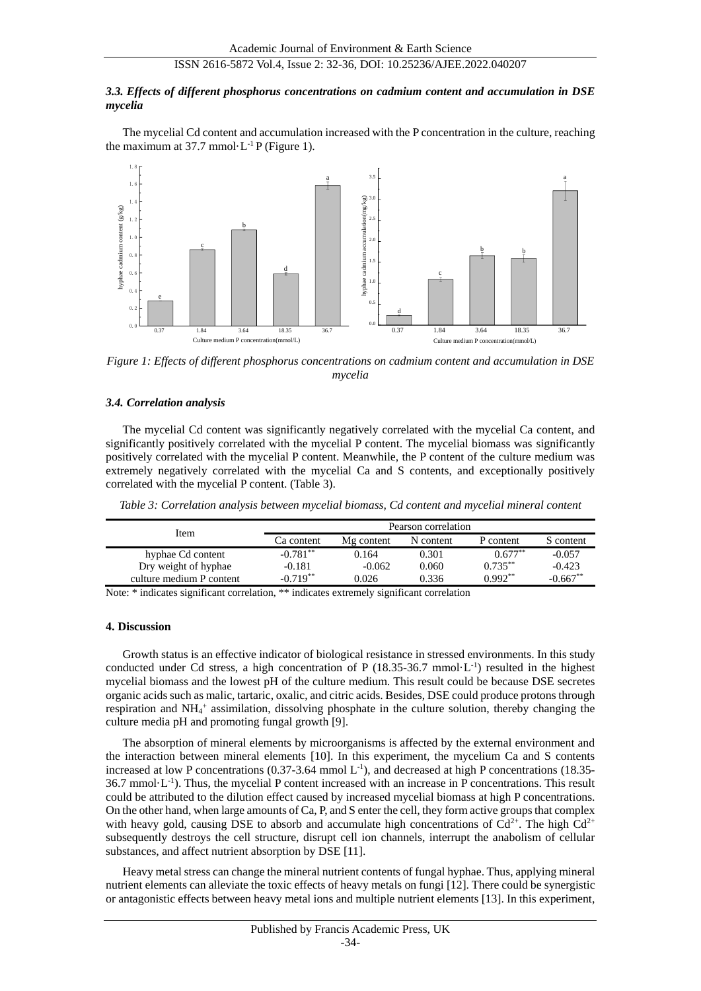## ISSN 2616-5872 Vol.4, Issue 2: 32-36, DOI: 10.25236/AJEE.2022.040207

#### *3.3. Effects of different phosphorus concentrations on cadmium content and accumulation in DSE mycelia*

The mycelial Cd content and accumulation increased with the P concentration in the culture, reaching the maximum at 37.7 mmol  $L^{-1}P$  (Figure 1).



*Figure 1: Effects of different phosphorus concentrations on cadmium content and accumulation in DSE mycelia*

#### *3.4. Correlation analysis*

The mycelial Cd content was significantly negatively correlated with the mycelial Ca content, and significantly positively correlated with the mycelial P content. The mycelial biomass was significantly positively correlated with the mycelial P content. Meanwhile, the P content of the culture medium was extremely negatively correlated with the mycelial Ca and S contents, and exceptionally positively correlated with the mycelial P content. (Table 3).

*Table 3: Correlation analysis between mycelial biomass, Cd content and mycelial mineral content*

| Item                     | Pearson correlation |            |           |            |            |
|--------------------------|---------------------|------------|-----------|------------|------------|
|                          | Ca content          | Mg content | N content | P content  | S content  |
| hyphae Cd content        | $-0.781**$          | 0.164      | 0.301     | $0.677**$  | $-0.057$   |
| Dry weight of hyphae     | $-0.181$            | $-0.062$   | 0.060     | $0.735***$ | $-0.423$   |
| culture medium P content | $-0.719**$          | 0.026      | 0.336     | $0.992**$  | $-0.667**$ |

Note: \* indicates significant correlation, \*\* indicates extremely significant correlation

#### **4. Discussion**

Growth status is an effective indicator of biological resistance in stressed environments. In this study conducted under Cd stress, a high concentration of P  $(18.35-36.7 \text{ mmol L}^{-1})$  resulted in the highest mycelial biomass and the lowest pH of the culture medium. This result could be because DSE secretes organic acids such as malic, tartaric, oxalic, and citric acids. Besides, DSE could produce protons through respiration and NH<sub>4</sub><sup>+</sup> assimilation, dissolving phosphate in the culture solution, thereby changing the culture media pH and promoting fungal growth [9].

The absorption of mineral elements by microorganisms is affected by the external environment and the interaction between mineral elements [10]. In this experiment, the mycelium Ca and S contents increased at low P concentrations  $(0.37-3.64 \text{ mmol L}^{-1})$ , and decreased at high P concentrations (18.35- $36.7$  mmol  $L^{-1}$ ). Thus, the mycelial P content increased with an increase in P concentrations. This result could be attributed to the dilution effect caused by increased mycelial biomass at high P concentrations. On the other hand, when large amounts of Ca, P, and S enter the cell, they form active groups that complex with heavy gold, causing DSE to absorb and accumulate high concentrations of  $Cd^{2+}$ . The high  $Cd^{2+}$ subsequently destroys the cell structure, disrupt cell ion channels, interrupt the anabolism of cellular substances, and affect nutrient absorption by DSE [11].

Heavy metal stress can change the mineral nutrient contents of fungal hyphae. Thus, applying mineral nutrient elements can alleviate the toxic effects of heavy metals on fungi [12]. There could be synergistic or antagonistic effects between heavy metal ions and multiple nutrient elements [13]. In this experiment,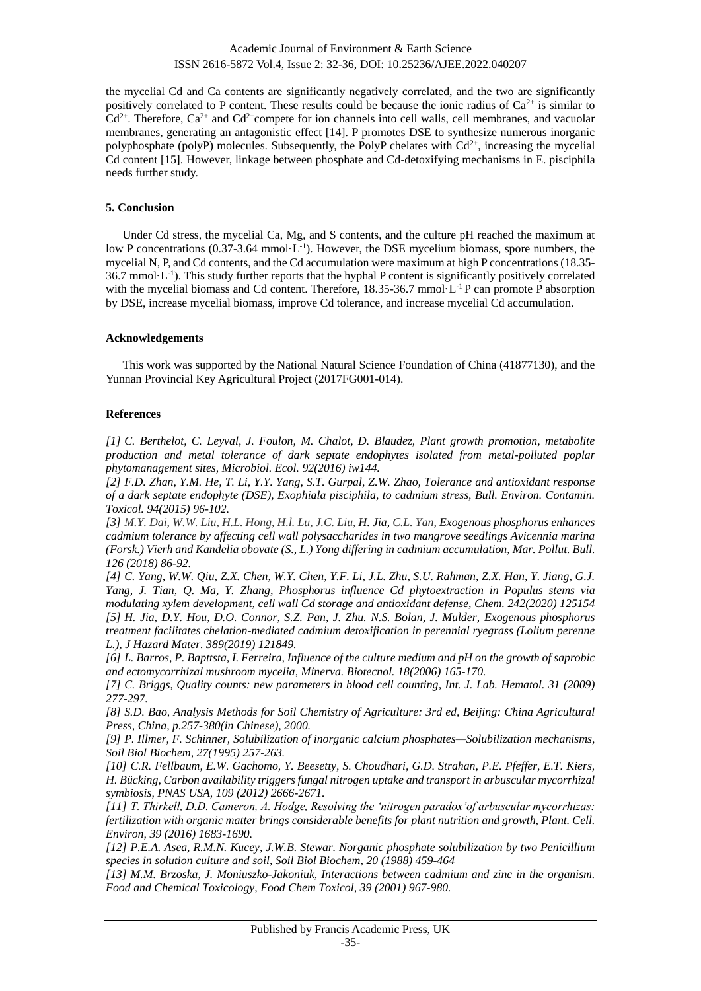# ISSN 2616-5872 Vol.4, Issue 2: 32-36, DOI: 10.25236/AJEE.2022.040207

the mycelial Cd and Ca contents are significantly negatively correlated, and the two are significantly positively correlated to P content. These results could be because the ionic radius of  $Ca^{2+}$  is similar to  $Cd^{2+}$ . Therefore,  $Ca^{2+}$  and  $Cd^{2+}$ compete for ion channels into cell walls, cell membranes, and vacuolar membranes, generating an antagonistic effect [14]. P promotes DSE to synthesize numerous inorganic polyphosphate (polyP) molecules. Subsequently, the PolyP chelates with  $Cd^{2+}$ , increasing the mycelial Cd content [15]. However, linkage between phosphate and Cd-detoxifying mechanisms in E. pisciphila needs further study.

# **5. Conclusion**

Under Cd stress, the mycelial Ca, Mg, and S contents, and the culture pH reached the maximum at low P concentrations  $(0.37-3.64 \text{ mmol L}^{-1})$ . However, the DSE mycelium biomass, spore numbers, the mycelial N, P, and Cd contents, and the Cd accumulation were maximum at high P concentrations (18.35-  $36.7$  mmol  $L^{-1}$ ). This study further reports that the hyphal P content is significantly positively correlated with the mycelial biomass and Cd content. Therefore, 18.35-36.7 mmol L<sup>-1</sup> P can promote P absorption by DSE, increase mycelial biomass, improve Cd tolerance, and increase mycelial Cd accumulation.

# **Acknowledgements**

This work was supported by the National Natural Science Foundation of China (41877130), and the Yunnan Provincial Key Agricultural Project (2017FG001-014).

# **References**

*[1] C. Berthelot, C. Leyval, J. Foulon, M. Chalot, D. Blaudez, Plant growth promotion, metabolite production and metal tolerance of dark septate endophytes isolated from metal-polluted poplar phytomanagement sites, Microbiol. Ecol. 92(2016) iw144.*

*[2] F.D. Zhan, Y.M. He, T. Li, Y.Y. Yang, S.T. Gurpal, Z.W. Zhao, Tolerance and antioxidant response of a dark septate endophyte (DSE), Exophiala pisciphila, to cadmium stress, Bull. Environ. Contamin. Toxicol. 94(2015) 96-102.*

*[3] M.Y. Dai, W.W. Liu, H.L. Hong, H.l. Lu, J.C. Liu, H. Jia, C.L. Yan, Exogenous phosphorus enhances cadmium tolerance by affecting cell wall polysaccharides in two mangrove seedlings Avicennia marina (Forsk.) Vierh and Kandelia obovate (S., L.) Yong differing in cadmium accumulation, Mar. Pollut. Bull. 126 (2018) 86-92.*

*[4] C. Yang, W.W. Qiu, Z.X. Chen, W.Y. Chen, Y.F. Li, J.L. Zhu, S.U. Rahman, Z.X. Han, Y. Jiang, G.J. Yang, J. Tian, Q. Ma, Y. Zhang, Phosphorus influence Cd phytoextraction in Populus stems via modulating xylem development, cell wall Cd storage and antioxidant defense, Chem. 242(2020) 125154 [5] H. Jia, D.Y. Hou, D.O. Connor, S.Z. Pan, J. Zhu. N.S. Bolan, J. Mulder, Exogenous phosphorus treatment facilitates chelation-mediated cadmium detoxification in perennial ryegrass (Lolium perenne L.), J Hazard Mater. 389(2019) 121849.*

*[6] L. Barros, P. Bapttsta, I. Ferreira, Influence of the culture medium and pH on the growth of saprobic and ectomycorrhizal mushroom mycelia, Minerva. Biotecnol. 18(2006) 165-170.*

*[7] C. Briggs, Quality counts: new parameters in blood cell counting, Int. J. Lab. Hematol. 31 (2009) 277-297.*

*[8] S.D. Bao, Analysis Methods for Soil Chemistry of Agriculture: 3rd ed, Beijing: China Agricultural Press, China, p.257-380(in Chinese), 2000.*

*[9] P. Illmer, F. Schinner, Solubilization of inorganic calcium phosphates—Solubilization mechanisms, Soil Biol Biochem, 27(1995) 257-263.*

*[10] C.R. Fellbaum, E.W. Gachomo, Y. Beesetty, S. Choudhari, G.D. Strahan, P.E. Pfeffer, E.T. Kiers, H. Bücking, Carbon availability triggers fungal nitrogen uptake and transport in arbuscular mycorrhizal symbiosis, PNAS USA, 109 (2012) 2666-2671.*

*[11] T. Thirkell, D.D. Cameron, A. Hodge, Resolving the 'nitrogen paradox'of arbuscular mycorrhizas: fertilization with organic matter brings considerable benefits for plant nutrition and growth, Plant. Cell. Environ, 39 (2016) 1683-1690.*

*[12] P.E.A. Asea, R.M.N. Kucey, J.W.B. Stewar. Norganic phosphate solubilization by two Penicillium species in solution culture and soil, Soil Biol Biochem, 20 (1988) 459-464*

*[13] M.M. Brzoska, J. Moniuszko-Jakoniuk, Interactions between cadmium and zinc in the organism. Food and Chemical Toxicology, Food Chem Toxicol, 39 (2001) 967-980.*